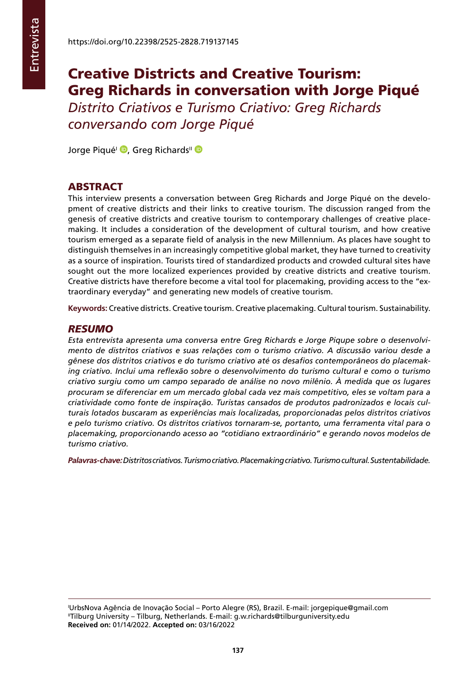# Creative Districts and Creative Tourism: Greg Richards in conversation with Jorge Piqué

*Distrito Criativos e Turismo Criativo: Greg Richards conversando com Jorge Piqué*

Jorge Piqué<sup>i</sup> D[,](http://orcid.org/0000-0001-8011-7900) Greg Richards<sup>II</sup> D

# ABSTRACT

This interview presents a conversation between Greg Richards and Jorge Piqué on the development of creative districts and their links to creative tourism. The discussion ranged from the genesis of creative districts and creative tourism to contemporary challenges of creative placemaking. It includes a consideration of the development of cultural tourism, and how creative tourism emerged as a separate field of analysis in the new Millennium. As places have sought to distinguish themselves in an increasingly competitive global market, they have turned to creativity as a source of inspiration. Tourists tired of standardized products and crowded cultural sites have sought out the more localized experiences provided by creative districts and creative tourism. Creative districts have therefore become a vital tool for placemaking, providing access to the "extraordinary everyday" and generating new models of creative tourism.

**Keywords:** Creative districts. Creative tourism. Creative placemaking. Cultural tourism. Sustainability.

#### *RESUMO*

*Esta entrevista apresenta uma conversa entre Greg Richards e Jorge Piqupe sobre o desenvolvimento de distritos criativos e suas relações com o turismo criativo. A discussão variou desde a gênese dos distritos criativos e do turismo criativo até os desafios contemporâneos do placemaking criativo. Inclui uma reflexão sobre o desenvolvimento do turismo cultural e como o turismo criativo surgiu como um campo separado de análise no novo milênio. À medida que os lugares procuram se diferenciar em um mercado global cada vez mais competitivo, eles se voltam para a criatividade como fonte de inspiração. Turistas cansados de produtos padronizados e locais culturais lotados buscaram as experiências mais localizadas, proporcionadas pelos distritos criativos e pelo turismo criativo. Os distritos criativos tornaram-se, portanto, uma ferramenta vital para o placemaking, proporcionando acesso ao "cotidiano extraordinário" e gerando novos modelos de turismo criativo.*

*Palavras-chave: Distritos criativos. Turismo criativo. Placemaking criativo. Turismo cultural. Sustentabilidade.*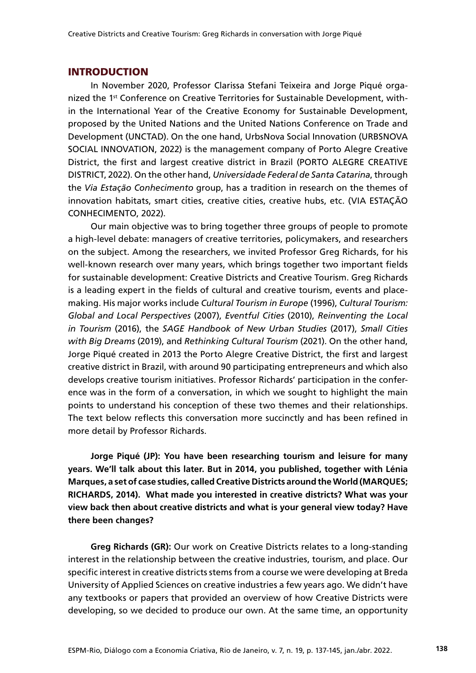#### INTRODUCTION

In November 2020, Professor Clarissa Stefani Teixeira and Jorge Piqué organized the 1<sup>st</sup> Conference on Creative Territories for Sustainable Development, within the International Year of the Creative Economy for Sustainable Development, proposed by the United Nations and the United Nations Conference on Trade and Development (UNCTAD). On the one hand, UrbsNova Social Innovation (URBSNOVA SOCIAL INNOVATION, 2022) is the management company of Porto Alegre Creative District, the first and largest creative district in Brazil (PORTO ALEGRE CREATIVE DISTRICT, 2022). On the other hand, *Universidade Federal de Santa Catarina*, through the *Via Estação Conhecimento* group, has a tradition in research on the themes of innovation habitats, smart cities, creative cities, creative hubs, etc. (VIA ESTAÇÃO CONHECIMENTO, 2022).

Our main objective was to bring together three groups of people to promote a high-level debate: managers of creative territories, policymakers, and researchers on the subject. Among the researchers, we invited Professor Greg Richards, for his well-known research over many years, which brings together two important fields for sustainable development: Creative Districts and Creative Tourism. Greg Richards is a leading expert in the fields of cultural and creative tourism, events and placemaking. His major works include *Cultural Tourism in Europe* (1996), *Cultural Tourism: Global and Local Perspectives* (2007), *Eventful Cities* (2010), *Reinventing the Local in Tourism* (2016), the *SAGE Handbook of New Urban Studies* (2017), *Small Cities with Big Dreams* (2019), and *Rethinking Cultural Tourism* (2021). On the other hand, Jorge Piqué created in 2013 the Porto Alegre Creative District, the first and largest creative district in Brazil, with around 90 participating entrepreneurs and which also develops creative tourism initiatives. Professor Richards' participation in the conference was in the form of a conversation, in which we sought to highlight the main points to understand his conception of these two themes and their relationships. The text below reflects this conversation more succinctly and has been refined in more detail by Professor Richards.

**Jorge Piqué (JP): You have been researching tourism and leisure for many years. We'll talk about this later. But in 2014, you published, together with Lénia Marques, a set of case studies, called Creative Districts around the World (MARQUES; RICHARDS, 2014). What made you interested in creative districts? What was your view back then about creative districts and what is your general view today? Have there been changes?**

**Greg Richards (GR):** Our work on Creative Districts relates to a long-standing interest in the relationship between the creative industries, tourism, and place. Our specific interest in creative districts stems from a course we were developing at Breda University of Applied Sciences on creative industries a few years ago. We didn't have any textbooks or papers that provided an overview of how Creative Districts were developing, so we decided to produce our own. At the same time, an opportunity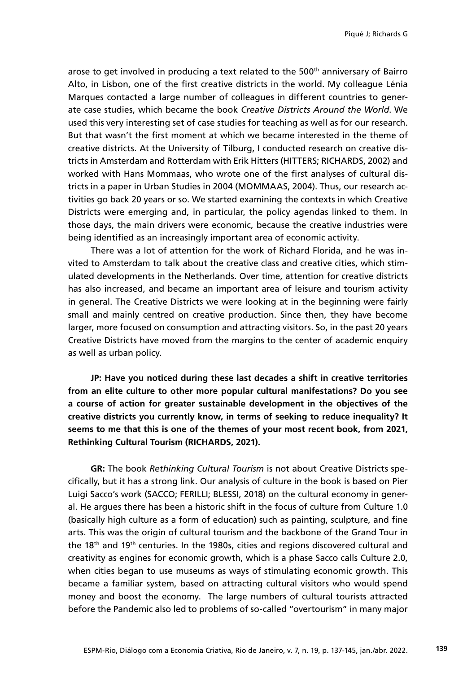arose to get involved in producing a text related to the  $500<sup>th</sup>$  anniversary of Bairro Alto, in Lisbon, one of the first creative districts in the world. My colleague Lénia Marques contacted a large number of colleagues in different countries to generate case studies, which became the book *Creative Districts Around the World*. We used this very interesting set of case studies for teaching as well as for our research. But that wasn't the first moment at which we became interested in the theme of creative districts. At the University of Tilburg, I conducted research on creative districts in Amsterdam and Rotterdam with Erik Hitters (HITTERS; RICHARDS, 2002) and worked with Hans Mommaas, who wrote one of the first analyses of cultural districts in a paper in Urban Studies in 2004 (MOMMAAS, 2004). Thus, our research activities go back 20 years or so. We started examining the contexts in which Creative Districts were emerging and, in particular, the policy agendas linked to them. In those days, the main drivers were economic, because the creative industries were being identified as an increasingly important area of economic activity.

There was a lot of attention for the work of Richard Florida, and he was invited to Amsterdam to talk about the creative class and creative cities, which stimulated developments in the Netherlands. Over time, attention for creative districts has also increased, and became an important area of leisure and tourism activity in general. The Creative Districts we were looking at in the beginning were fairly small and mainly centred on creative production. Since then, they have become larger, more focused on consumption and attracting visitors. So, in the past 20 years Creative Districts have moved from the margins to the center of academic enquiry as well as urban policy.

**JP: Have you noticed during these last decades a shift in creative territories from an elite culture to other more popular cultural manifestations? Do you see a course of action for greater sustainable development in the objectives of the creative districts you currently know, in terms of seeking to reduce inequality? It seems to me that this is one of the themes of your most recent book, from 2021, Rethinking Cultural Tourism (RICHARDS, 2021).**

**GR:** The book *Rethinking Cultural Tourism* is not about Creative Districts specifically, but it has a strong link. Our analysis of culture in the book is based on Pier Luigi Sacco's work (SACCO; FERILLI; BLESSI, 2018) on the cultural economy in general. He argues there has been a historic shift in the focus of culture from Culture 1.0 (basically high culture as a form of education) such as painting, sculpture, and fine arts. This was the origin of cultural tourism and the backbone of the Grand Tour in the 18th and 19th centuries. In the 1980s, cities and regions discovered cultural and creativity as engines for economic growth, which is a phase Sacco calls Culture 2.0, when cities began to use museums as ways of stimulating economic growth. This became a familiar system, based on attracting cultural visitors who would spend money and boost the economy. The large numbers of cultural tourists attracted before the Pandemic also led to problems of so-called "overtourism" in many major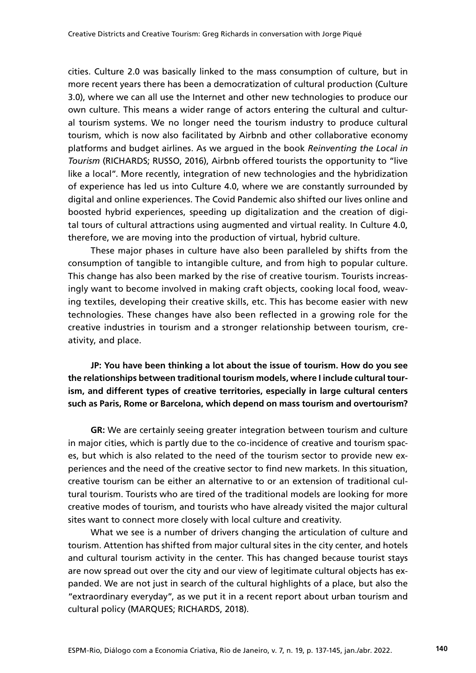cities. Culture 2.0 was basically linked to the mass consumption of culture, but in more recent years there has been a democratization of cultural production (Culture 3.0), where we can all use the Internet and other new technologies to produce our own culture. This means a wider range of actors entering the cultural and cultural tourism systems. We no longer need the tourism industry to produce cultural tourism, which is now also facilitated by Airbnb and other collaborative economy platforms and budget airlines. As we argued in the book *Reinventing the Local in Tourism* (RICHARDS; RUSSO, 2016), Airbnb offered tourists the opportunity to "live like a local". More recently, integration of new technologies and the hybridization of experience has led us into Culture 4.0, where we are constantly surrounded by digital and online experiences. The Covid Pandemic also shifted our lives online and boosted hybrid experiences, speeding up digitalization and the creation of digital tours of cultural attractions using augmented and virtual reality. In Culture 4.0, therefore, we are moving into the production of virtual, hybrid culture.

These major phases in culture have also been paralleled by shifts from the consumption of tangible to intangible culture, and from high to popular culture. This change has also been marked by the rise of creative tourism. Tourists increasingly want to become involved in making craft objects, cooking local food, weaving textiles, developing their creative skills, etc. This has become easier with new technologies. These changes have also been reflected in a growing role for the creative industries in tourism and a stronger relationship between tourism, creativity, and place.

**JP: You have been thinking a lot about the issue of tourism. How do you see the relationships between traditional tourism models, where I include cultural tourism, and different types of creative territories, especially in large cultural centers such as Paris, Rome or Barcelona, which depend on mass tourism and overtourism?**

**GR:** We are certainly seeing greater integration between tourism and culture in major cities, which is partly due to the co-incidence of creative and tourism spaces, but which is also related to the need of the tourism sector to provide new experiences and the need of the creative sector to find new markets. In this situation, creative tourism can be either an alternative to or an extension of traditional cultural tourism. Tourists who are tired of the traditional models are looking for more creative modes of tourism, and tourists who have already visited the major cultural sites want to connect more closely with local culture and creativity.

What we see is a number of drivers changing the articulation of culture and tourism. Attention has shifted from major cultural sites in the city center, and hotels and cultural tourism activity in the center. This has changed because tourist stays are now spread out over the city and our view of legitimate cultural objects has expanded. We are not just in search of the cultural highlights of a place, but also the "extraordinary everyday", as we put it in a recent report about urban tourism and cultural policy (MARQUES; RICHARDS, 2018).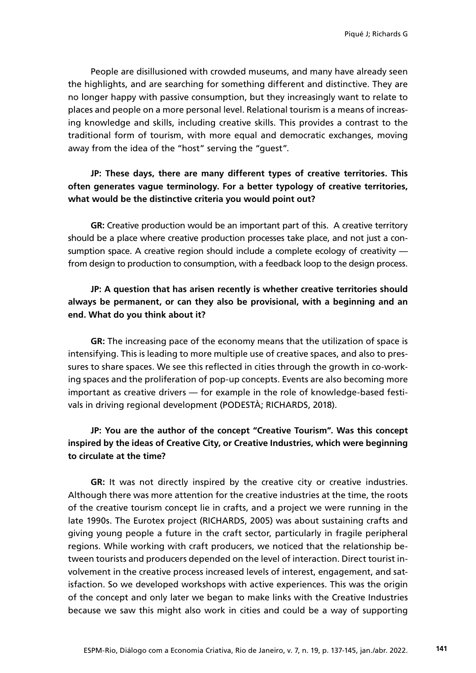People are disillusioned with crowded museums, and many have already seen the highlights, and are searching for something different and distinctive. They are no longer happy with passive consumption, but they increasingly want to relate to places and people on a more personal level. Relational tourism is a means of increasing knowledge and skills, including creative skills. This provides a contrast to the traditional form of tourism, with more equal and democratic exchanges, moving away from the idea of the "host" serving the "guest".

# **JP: These days, there are many different types of creative territories. This often generates vague terminology. For a better typology of creative territories, what would be the distinctive criteria you would point out?**

**GR:** Creative production would be an important part of this. A creative territory should be a place where creative production processes take place, and not just a consumption space. A creative region should include a complete ecology of creativity from design to production to consumption, with a feedback loop to the design process.

## **JP: A question that has arisen recently is whether creative territories should always be permanent, or can they also be provisional, with a beginning and an end. What do you think about it?**

**GR:** The increasing pace of the economy means that the utilization of space is intensifying. This is leading to more multiple use of creative spaces, and also to pressures to share spaces. We see this reflected in cities through the growth in co-working spaces and the proliferation of pop-up concepts. Events are also becoming more important as creative drivers — for example in the role of knowledge-based festivals in driving regional development (PODESTÀ; RICHARDS, 2018).

# **JP: You are the author of the concept "Creative Tourism". Was this concept inspired by the ideas of Creative City, or Creative Industries, which were beginning to circulate at the time?**

**GR:** It was not directly inspired by the creative city or creative industries. Although there was more attention for the creative industries at the time, the roots of the creative tourism concept lie in crafts, and a project we were running in the late 1990s. The Eurotex project (RICHARDS, 2005) was about sustaining crafts and giving young people a future in the craft sector, particularly in fragile peripheral regions. While working with craft producers, we noticed that the relationship between tourists and producers depended on the level of interaction. Direct tourist involvement in the creative process increased levels of interest, engagement, and satisfaction. So we developed workshops with active experiences. This was the origin of the concept and only later we began to make links with the Creative Industries because we saw this might also work in cities and could be a way of supporting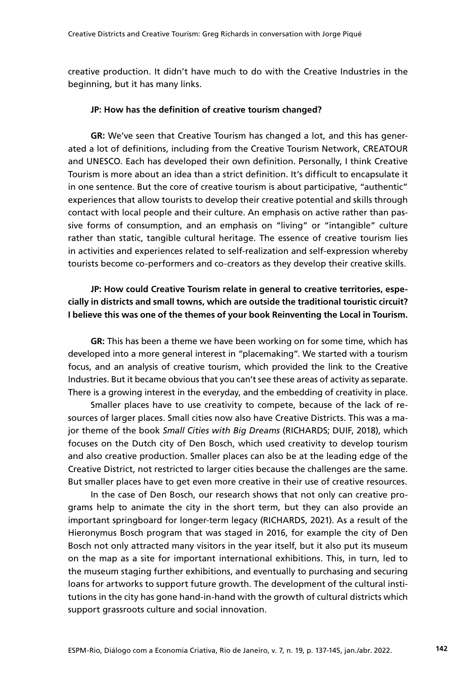creative production. It didn't have much to do with the Creative Industries in the beginning, but it has many links.

#### **JP: How has the definition of creative tourism changed?**

**GR:** We've seen that Creative Tourism has changed a lot, and this has generated a lot of definitions, including from the Creative Tourism Network, CREATOUR and UNESCO. Each has developed their own definition. Personally, I think Creative Tourism is more about an idea than a strict definition. It's difficult to encapsulate it in one sentence. But the core of creative tourism is about participative, "authentic" experiences that allow tourists to develop their creative potential and skills through contact with local people and their culture. An emphasis on active rather than passive forms of consumption, and an emphasis on "living" or "intangible" culture rather than static, tangible cultural heritage. The essence of creative tourism lies in activities and experiences related to self-realization and self-expression whereby tourists become co-performers and co-creators as they develop their creative skills.

# **JP: How could Creative Tourism relate in general to creative territories, especially in districts and small towns, which are outside the traditional touristic circuit? I believe this was one of the themes of your book Reinventing the Local in Tourism.**

**GR:** This has been a theme we have been working on for some time, which has developed into a more general interest in "placemaking". We started with a tourism focus, and an analysis of creative tourism, which provided the link to the Creative Industries. But it became obvious that you can't see these areas of activity as separate. There is a growing interest in the everyday, and the embedding of creativity in place.

Smaller places have to use creativity to compete, because of the lack of resources of larger places. Small cities now also have Creative Districts. This was a major theme of the book *Small Cities with Big Dreams* (RICHARDS; DUIF, 2018), which focuses on the Dutch city of Den Bosch, which used creativity to develop tourism and also creative production. Smaller places can also be at the leading edge of the Creative District, not restricted to larger cities because the challenges are the same. But smaller places have to get even more creative in their use of creative resources.

In the case of Den Bosch, our research shows that not only can creative programs help to animate the city in the short term, but they can also provide an important springboard for longer-term legacy (RICHARDS, 2021). As a result of the Hieronymus Bosch program that was staged in 2016, for example the city of Den Bosch not only attracted many visitors in the year itself, but it also put its museum on the map as a site for important international exhibitions. This, in turn, led to the museum staging further exhibitions, and eventually to purchasing and securing loans for artworks to support future growth. The development of the cultural institutions in the city has gone hand-in-hand with the growth of cultural districts which support grassroots culture and social innovation.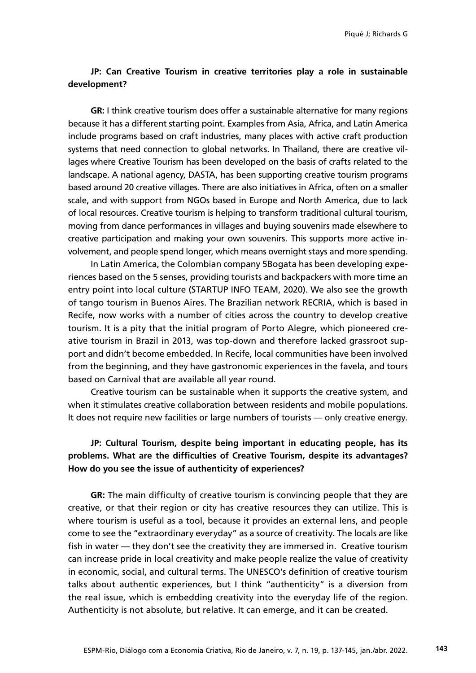#### **JP: Can Creative Tourism in creative territories play a role in sustainable development?**

**GR:** I think creative tourism does offer a sustainable alternative for many regions because it has a different starting point. Examples from Asia, Africa, and Latin America include programs based on craft industries, many places with active craft production systems that need connection to global networks. In Thailand, there are creative villages where Creative Tourism has been developed on the basis of crafts related to the landscape. A national agency, DASTA, has been supporting creative tourism programs based around 20 creative villages. There are also initiatives in Africa, often on a smaller scale, and with support from NGOs based in Europe and North America, due to lack of local resources. Creative tourism is helping to transform traditional cultural tourism, moving from dance performances in villages and buying souvenirs made elsewhere to creative participation and making your own souvenirs. This supports more active involvement, and people spend longer, which means overnight stays and more spending.

In Latin America, the Colombian company 5Bogata has been developing experiences based on the 5 senses, providing tourists and backpackers with more time an entry point into local culture (STARTUP INFO TEAM, 2020). We also see the growth of tango tourism in Buenos Aires. The Brazilian network RECRIA, which is based in Recife, now works with a number of cities across the country to develop creative tourism. It is a pity that the initial program of Porto Alegre, which pioneered creative tourism in Brazil in 2013, was top-down and therefore lacked grassroot support and didn't become embedded. In Recife, local communities have been involved from the beginning, and they have gastronomic experiences in the favela, and tours based on Carnival that are available all year round.

Creative tourism can be sustainable when it supports the creative system, and when it stimulates creative collaboration between residents and mobile populations. It does not require new facilities or large numbers of tourists — only creative energy.

# **JP: Cultural Tourism, despite being important in educating people, has its problems. What are the difficulties of Creative Tourism, despite its advantages? How do you see the issue of authenticity of experiences?**

**GR:** The main difficulty of creative tourism is convincing people that they are creative, or that their region or city has creative resources they can utilize. This is where tourism is useful as a tool, because it provides an external lens, and people come to see the "extraordinary everyday" as a source of creativity. The locals are like fish in water — they don't see the creativity they are immersed in. Creative tourism can increase pride in local creativity and make people realize the value of creativity in economic, social, and cultural terms. The UNESCO's definition of creative tourism talks about authentic experiences, but I think "authenticity" is a diversion from the real issue, which is embedding creativity into the everyday life of the region. Authenticity is not absolute, but relative. It can emerge, and it can be created.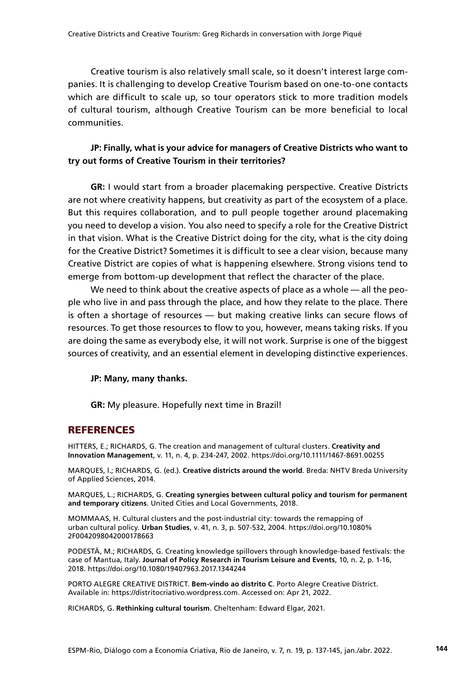Creative tourism is also relatively small scale, so it doesn't interest large companies. It is challenging to develop Creative Tourism based on one-to-one contacts which are difficult to scale up, so tour operators stick to more tradition models of cultural tourism, although Creative Tourism can be more beneficial to local communities.

## **JP: Finally, what is your advice for managers of Creative Districts who want to try out forms of Creative Tourism in their territories?**

**GR:** I would start from a broader placemaking perspective. Creative Districts are not where creativity happens, but creativity as part of the ecosystem of a place. But this requires collaboration, and to pull people together around placemaking you need to develop a vision. You also need to specify a role for the Creative District in that vision. What is the Creative District doing for the city, what is the city doing for the Creative District? Sometimes it is difficult to see a clear vision, because many Creative District are copies of what is happening elsewhere. Strong visions tend to emerge from bottom-up development that reflect the character of the place.

We need to think about the creative aspects of place as a whole — all the people who live in and pass through the place, and how they relate to the place. There is often a shortage of resources — but making creative links can secure flows of resources. To get those resources to flow to you, however, means taking risks. If you are doing the same as everybody else, it will not work. Surprise is one of the biggest sources of creativity, and an essential element in developing distinctive experiences.

#### **JP: Many, many thanks.**

**GR:** My pleasure. Hopefully next time in Brazil!

#### REFERENCES

HITTERS, E.; RICHARDS, G. The creation and management of cultural clusters. **Creativity and Innovation Management**, v. 11, n. 4, p. 234-247, 2002. <https://doi.org/10.1111/1467-8691.00255>

MARQUES, l.; RICHARDS, G. (ed.). **Creative districts around the world**. Breda: NHTV Breda University of Applied Sciences, 2014.

MARQUES, L.; RICHARDS, G. **Creating synergies between cultural policy and tourism for permanent and temporary citizens**. United Cities and Local Governments, 2018.

MOMMAAS, H. Cultural clusters and the post-industrial city: towards the remapping of urban cultural policy. **Urban Studies**, v. 41, n. 3, p. 507-532, 2004. [https://doi.org/10.1080%](https://doi.org/10.1080%2F0042098042000178663) [2F0042098042000178663](https://doi.org/10.1080%2F0042098042000178663)

PODESTÀ, M.; RICHARDS, G. Creating knowledge spillovers through knowledge-based festivals: the case of Mantua, Italy. **Journal of Policy Research in Tourism Leisure and Events**, 10, n. 2, p. 1-16, 2018. <https://doi.org/10.1080/19407963.2017.1344244>

PORTO ALEGRE CREATIVE DISTRICT. **Bem-vindo ao distrito C**. Porto Alegre Creative District. Available in: [https://distritocriativo.wordpress.com.](https://distritocriativo.wordpress.com) Accessed on: Apr 21, 2022.

RICHARDS, G. **Rethinking cultural tourism**. Cheltenham: Edward Elgar, 2021.